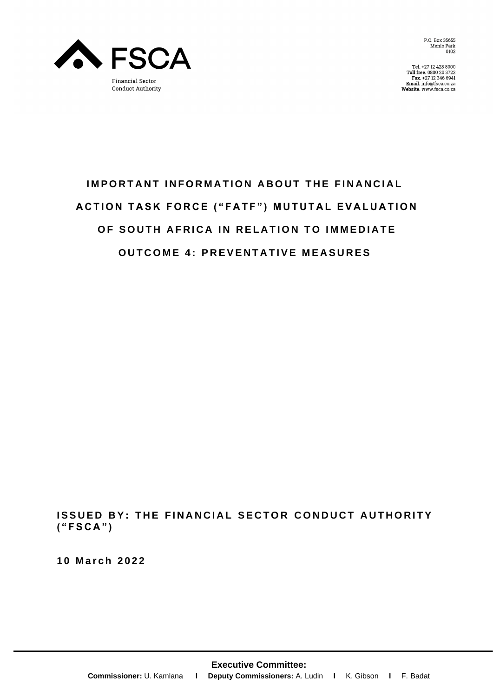

P.O. Box 35655 Menlo Park<br>0102

Tel. +27 12 428 8000<br>Toll free. 0800 20 3722<br>Fax. +27 12 346 6941<br>Email. info@fsca.co.za Website. www.fsca.co.za

# **IMPORTANT INFORMATION ABOUT THE FINANCIAL ACTION TASK FORCE ("FATF") MUTUTAL EVALUATION OF SOUTH AFRICA IN RELATION TO IMMEDIATE OUTCOME 4: PREVENTATIVE MEASURES**

**ISSUED BY: THE FINANCIAL SECTOR CONDUCT AUTHORITY ( " F S C A " )**

**1 0 M a r c h 2 0 2 2**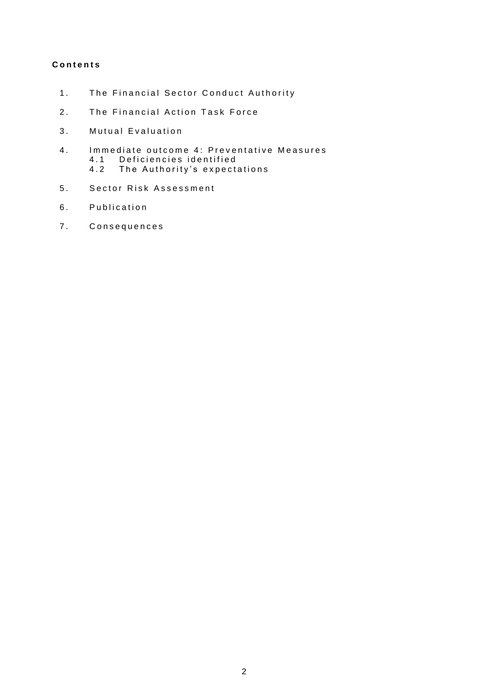# **Contents**

- The Financial Sector Conduct Authority  $1.$
- $2.$ The Financial Action Task Force
- $3.$ Mutual Evaluation
- $4.$ Immediate outcome 4: Preventative Measures  $4.1$ Deficiencies identified  $4.2$ The Authority's expectations
- $5.$ Sector Risk Assessment
- Publication  $6.$
- 7. Consequences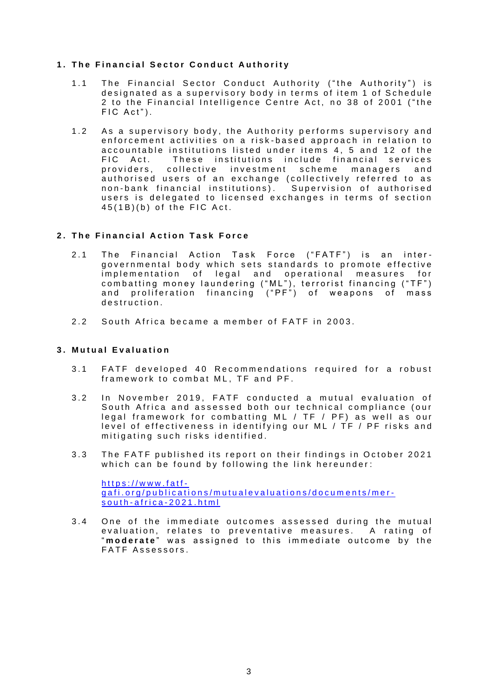# **1. The Financial Sector Conduct Authority**

- 1.1 The Financial Sector Conduct Authority ("the Authority") is designated as a supervisory body in terms of item 1 of Schedule 2 to the Financial Intelligence Centre Act, no 38 of 2001 ("the  $FIC Act$ ").
- 1.2 As a supervisory body, the Authority performs supervisory and enforcement activities on a risk-based approach in relation to accountable institutions listed under items 4, 5 and 12 of the FIC Act. These institutions include financial services providers, collective investment scheme managers and authorised users of an exchange (collectively referred to as non-bank financial institutions). Supervision of authorised users is delegated to licensed exchanges in terms of section  $45(1B)(b)$  of the FIC Act.

# **2.** The Financial Action Task Force

- 2.1 The Financial Action Task Force ("FATF") is an intergovernmental body which sets standards to promote effective implementation of legal and operational measures for combatting money laundering ("ML"), terrorist financing ("TF") and proliferation financing ("PF") of weapons of mass destruction.
- 2.2 South Africa became a member of FATF in 2003.

# **3 . M u t u a l E v a l u a t i o n**

- 3.1 FATF developed 40 Recommendations required for a robust framework to combat ML, TF and PF.
- 3.2 In November 2019, FATF conducted a mutual evaluation of South Africa and assessed both our technical compliance (our legal framework for combatting ML / TF / PF) as well as our level of effectiveness in identifying our ML /  $TF$  / PF risks and mitigating such risks identified.
- 3.3 The FATF published its report on their findings in October 2021 which can be found by following the link hereunder:

 $https://www.fatf$ gafi.org/publications/mutualevaluations/documents/mersouth-africa-2021.html

3.4 One of the immediate outcomes assessed during the mutual evaluation, relates to preventative measures. A rating of "moderate" was assigned to this immediate outcome by the FATF Assessors.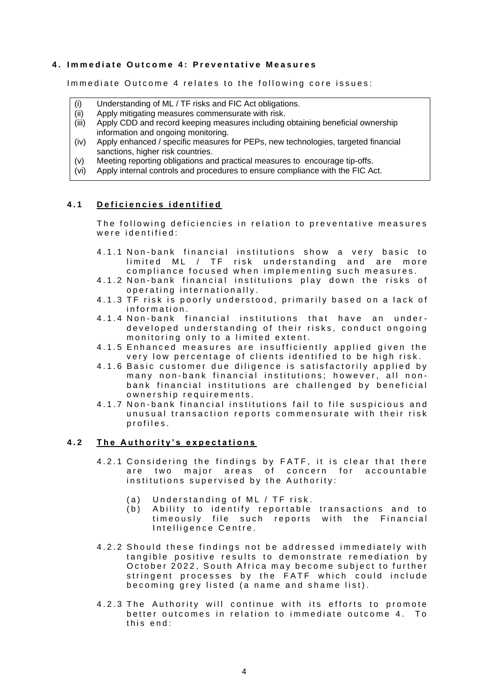# **4.** Immediate Outcome 4: Preventative Measures

Immediate Outcome 4 relates to the following core issues:

- (i) Understanding of ML / TF risks and FIC Act obligations.
- (ii) Apply mitigating measures commensurate with risk.
- (iii) Apply CDD and record keeping measures including obtaining beneficial ownership information and ongoing monitoring.
- (iv) Apply enhanced / specific measures for PEPs, new technologies, targeted financial sanctions, higher risk countries.
- (v) Meeting reporting obligations and practical measures to encourage tip-offs.
- (vi) Apply internal controls and procedures to ensure compliance with the FIC Act.

## **4.1** Deficiencies identified

The following deficiencies in relation to preventative measures were identified :

- 4.1.1 Non-bank financial institutions show a very basic to limited ML / TF risk understanding and are more compliance focused when implementing such measures.
- 4.1.2 Non-bank financial institutions play down the risks of operating internationally.
- 4.1.3 TF risk is poorly understood, primarily based on a lack of information.
- 4.1.4 Non-bank financial institutions that have an underdeveloped understanding of their risks, conduct ongoing monitoring only to a limited extent.
- 4.1.5 Enhanced measures are insufficiently applied given the very low percentage of clients identified to be high risk.
- 4.1.6 Basic customer due diligence is satisfactorily applied by many non-bank financial institutions; however, all nonbank financial institutions are challenged by beneficial ownership requirements.
- 4.1.7 Non-bank financial institutions fail to file suspicious and unusual transaction reports commensurate with their risk profiles.

# **4.2** The Authority's expectations

- 4.2.1 Considering the findings by FATF, it is clear that there are two major areas of concern for accountable institutions supervised by the Authority:
	- (a) Understanding of ML  $/$  TF risk.
	- (b) Ability to identify reportable transactions and to timeously file such reports with the Financial Intelligence Centre.
- 4.2.2 Should these findings not be addressed immediately with tangible positive results to demonstrate remediation by October 2022, South Africa may become subject to further stringent processes by the FATF which could include becoming grey listed (a name and shame list).
- 4.2.3 The Authority will continue with its efforts to promote better outcomes in relation to immediate outcome 4. To  $this$  end :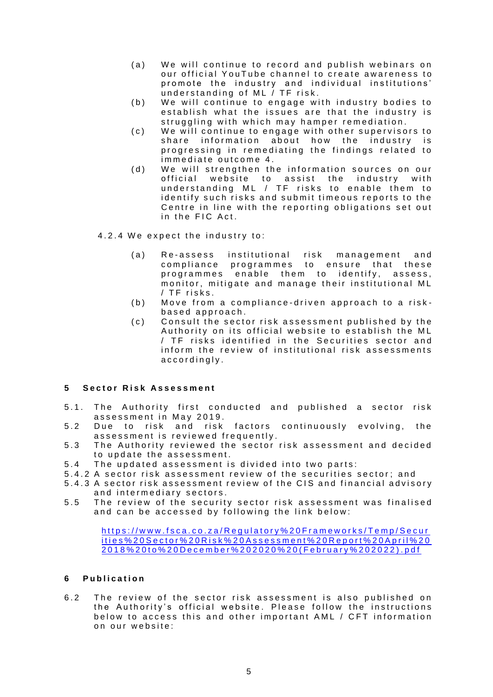- (a) We will continue to record and publish webinars on our official YouTube channel to create awareness to promote the industry and individual institutions' understanding of ML / TF risk.
- (b) We will continue to engage with industry bodies to establish what the issues are that the industry is struggling with which may hamper remediation.
- (c) We will continue to engage with other supervisors to share information about how the industry is progressing in remediating the findings related to immediate outcome 4.
- (d) We will strenathen the information sources on our official website to assist the industry with understanding ML / TF risks to enable them to identify such risks and submit timeous reports to the Centre in line with the reporting obligations set out in the FIC Act.
- 4.2.4 We expect the industry to:
	- (a) Re-assess institutional risk management and compliance programmes to ensure that these programmes enable them to identify, assess, monitor, mitigate and manage their institutional ML  $/$  TF risks.
	- (b) Move from a compliance-driven approach to a riskbased approach.
	- (c) Consult the sector risk assessment published by the Authority on its official website to establish the ML  $/$  TF risks identified in the Securities sector and inform the review of institutional risk assessments accordingly.

#### **5 S e c t o r R i s k A s s e s s m e n t**

- 5.1. The Authority first conducted and published a sector risk assessment in May 2019.
- 5.2 Due to risk and risk factors continuously evolving, the assessment is reviewed frequently.
- 5.3 The Authority reviewed the sector risk assessment and decided to update the assessment.
- 5.4 The updated assessment is divided into two parts:
- 5.4.2 A sector risk assessment review of the securities sector; and
- 5.4.3 A sector risk assessment review of the CIS and financial advisory and intermediary sectors.
- 5.5 The review of the security sector risk assessment was finalised and can be accessed by following the link below:

https://www.fsca.co.za/Regulatory%20Frameworks/Temp/Secur ities%20 Sector%20 R is k%20 Assessment%20 Report%20 A pril % 20 [2 0 1 8 % 2 0 t o % 2 0 D e c e m b e r % 2 0 2 0 2 0 % 2 0 \( F e b r u a r y % 2 0 2 0 2 2 \) . p d f](https://www.fsca.co.za/Regulatory%20Frameworks/Temp/Securities%20Sector%20Risk%20Assessment%20Report%20April%202018%20to%20December%202020%20(February%202022).pdf)

# **6 P u b l i c a t i o n**

6.2 The review of the sector risk assessment is also published on the Authority's official website. Please follow the instructions below to access this and other important AML / CFT information on our website: